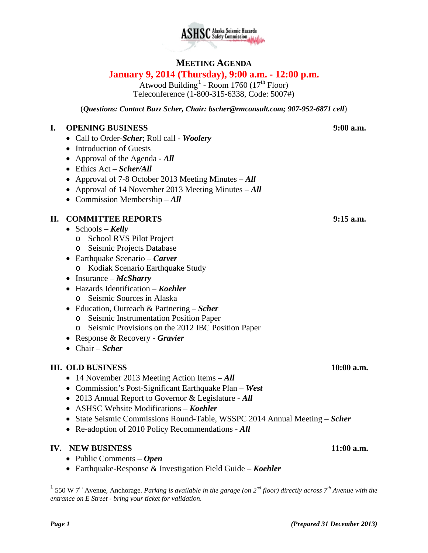

# **SC** Alaska Seismic Hazards

# **MEETING AGENDA**

# **January 9, 2014 (Thursday), 9:00 a.m. - 12:00 p.m.**

Atwood Building<sup>[1](#page-0-0)</sup> - Room 1760 (17<sup>th</sup> Floor) Teleconference (1-800-315-6338, Code: 5007#)

(*Questions: Contact Buzz Scher, Chair: [bscher@rmconsult.com;](mailto:bscher@rmconsult.com) 907-952-6871 cell*)

### **I. OPENING BUSINESS 9:00 a.m.**

- Call to Order-*Scher*; Roll call *Woolery*
- Introduction of Guests
- Approval of the Agenda *All*
- Ethics Act *Scher/All*
- Approval of 7-8 October 2013 Meeting Minutes *All*
- Approval of 14 November 2013 Meeting Minutes *All*
- Commission Membership *All*

## **II. COMMITTEE REPORTS 9:15 a.m.**

- Schools *Kelly*
	- o School RVS Pilot Project
	- o Seismic Projects Database
- Earthquake Scenario *Carver*
	- o Kodiak Scenario Earthquake Study
- Insurance *McSharry*
- Hazards Identification *Koehler* o Seismic Sources in Alaska
- Education, Outreach & Partnering *Scher*
	- o Seismic Instrumentation Position Paper
	- o Seismic Provisions on the 2012 IBC Position Paper
- Response & Recovery *Gravier*
- Chair *Scher*

### **III. OLD BUSINESS 10:00 a.m.**

- 14 November 2013 Meeting Action Items *All*
- Commission's Post-Significant Earthquake Plan *West*
- 2013 Annual Report to Governor & Legislature *All*
- ASHSC Website Modifications *Koehler*
- State Seismic Commissions Round-Table, WSSPC 2014 Annual Meeting *Scher*
- Re-adoption of 2010 Policy Recommendations *All*

### **IV. NEW BUSINESS 11:00 a.m.**

- Public Comments *Open*
- Earthquake-Response & Investigation Field Guide *Koehler*

<span id="page-0-0"></span><sup>1</sup> 550 W 7th Avenue, Anchorage. *Parking is available in the garage (on 2nd floor) directly across 7th Avenue with the entrance on E Street - bring your ticket for validation.*